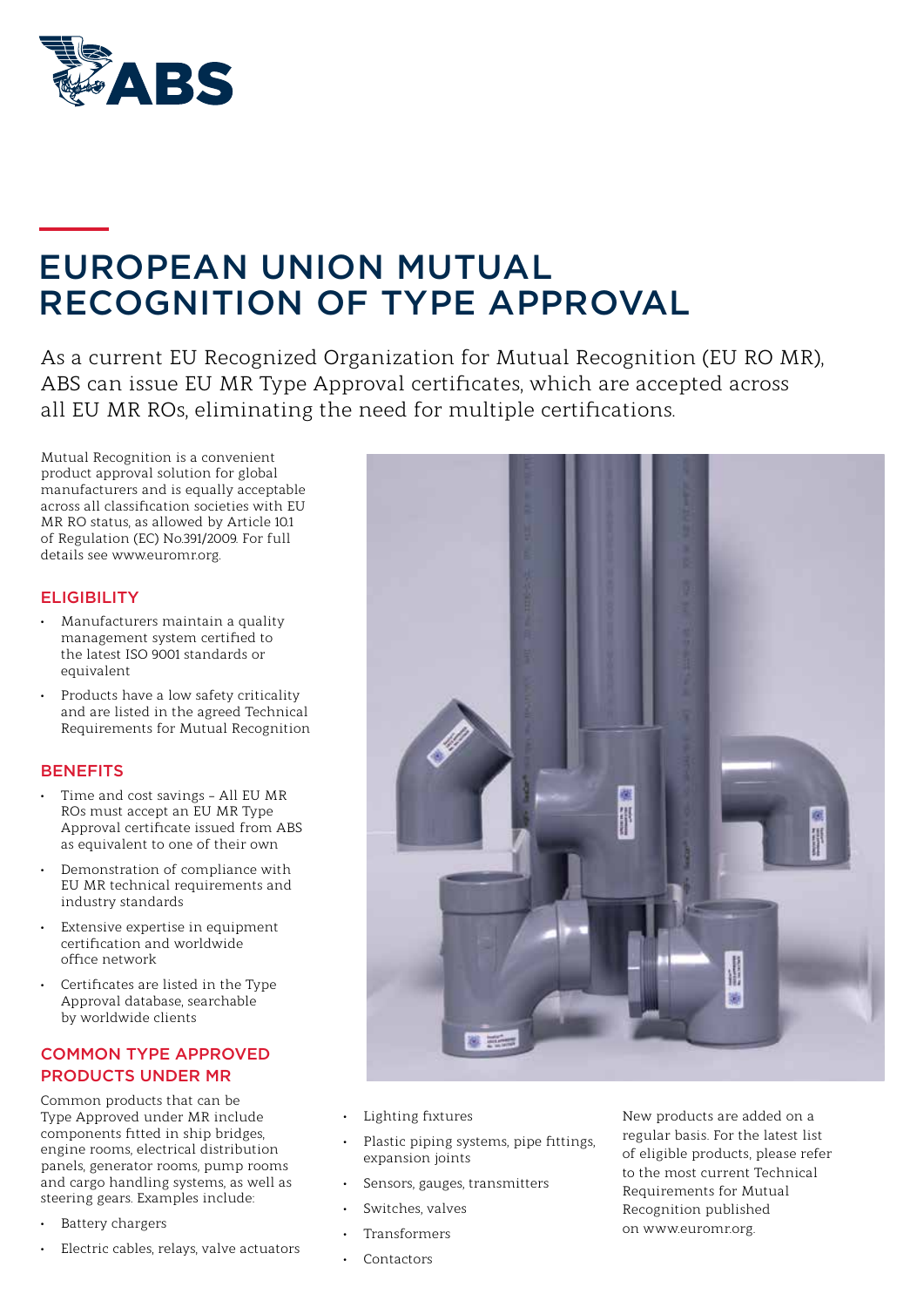

# EUROPEAN UNION MUTUAL RECOGNITION OF TYPE APPROVAL

As a current EU Recognized Organization for Mutual Recognition (EU RO MR), ABS can issue EU MR Type Approval certificates, which are accepted across all EU MR ROs, eliminating the need for multiple certifications.

Mutual Recognition is a convenient product approval solution for global manufacturers and is equally acceptable across all classification societies with EU MR RO status, as allowed by Article 10.1 of Regulation (EC) No.391/2009. For full details see www.euromr.org.

#### **ELIGIBILITY**

- Manufacturers maintain a quality management system certified to the latest ISO 9001 standards or equivalent
- Products have a low safety criticality and are listed in the agreed Technical Requirements for Mutual Recognition

#### **BENEFITS**

- Time and cost savings All EU MR ROs must accept an EU MR Type Approval certificate issued from ABS as equivalent to one of their own
- Demonstration of compliance with EU MR technical requirements and industry standards
- Extensive expertise in equipment certification and worldwide office network
- Certificates are listed in the Type Approval database, searchable by worldwide clients

### COMMON TYPE APPROVED PRODUCTS UNDER MR

Common products that can be Type Approved under MR include components fitted in ship bridges, engine rooms, electrical distribution panels, generator rooms, pump rooms and cargo handling systems, as well as steering gears. Examples include:

- Battery chargers
- Electric cables, relays, valve actuators



- Lighting fixtures
- Plastic piping systems, pipe fittings, expansion joints
- Sensors, gauges, transmitters
- Switches, valves
- Transformers
- **Contactors**

New products are added on a regular basis. For the latest list of eligible products, please refer to the most current Technical Requirements for Mutual Recognition published on www.euromr.org.